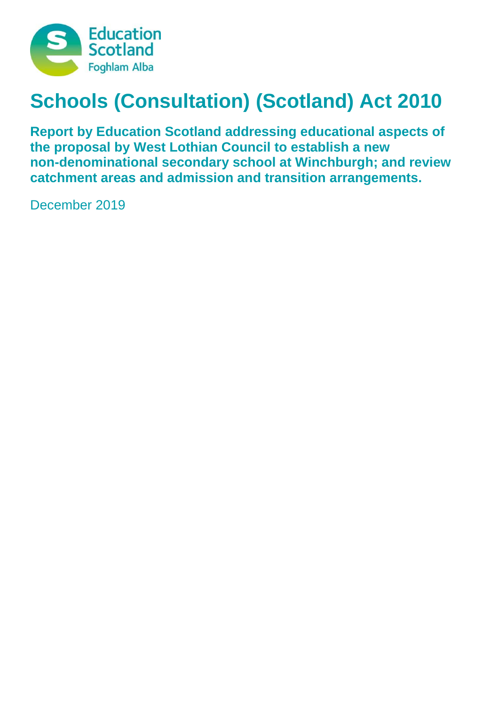

# **Schools (Consultation) (Scotland) Act 2010**

**Report by Education Scotland addressing educational aspects of the proposal by West Lothian Council to establish a new non-denominational secondary school at Winchburgh; and review catchment areas and admission and transition arrangements.**

December 2019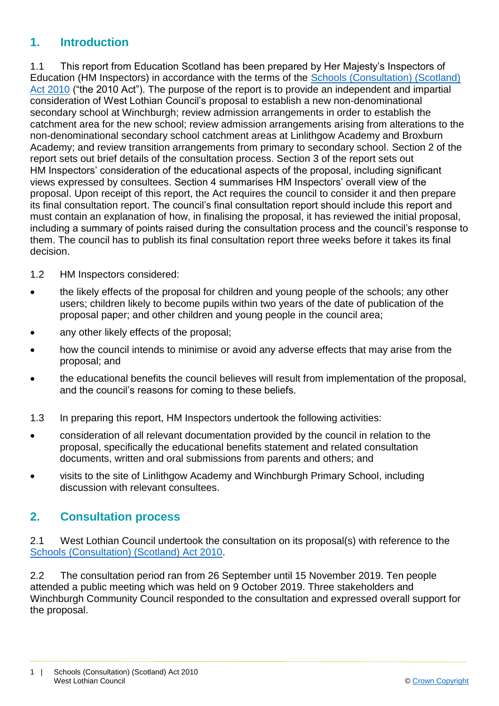#### **1. Introduction**

1.1 This report from Education Scotland has been prepared by Her Majesty's Inspectors of Education (HM Inspectors) in accordance with the terms of the [Schools \(Consultation\) \(Scotland\)](https://www.google.co.uk/url?sa=t&rct=j&q=&esrc=s&source=web&cd=1&cad=rja&uact=8&ved=2ahUKEwj9-7GYkvLeAhXOasAKHT9vCtMQFjAAegQICRAB&url=https%3A%2F%2Fwww.legislation.gov.uk%2Fasp%2F2010%2F2%2Fcontents&usg=AOvVaw2lRwXOuXBCn_fz2wA9W6o2)  [Act 2010](https://www.google.co.uk/url?sa=t&rct=j&q=&esrc=s&source=web&cd=1&cad=rja&uact=8&ved=2ahUKEwj9-7GYkvLeAhXOasAKHT9vCtMQFjAAegQICRAB&url=https%3A%2F%2Fwww.legislation.gov.uk%2Fasp%2F2010%2F2%2Fcontents&usg=AOvVaw2lRwXOuXBCn_fz2wA9W6o2) ("the 2010 Act"). The purpose of the report is to provide an independent and impartial consideration of West Lothian Council's proposal to establish a new non-denominational secondary school at Winchburgh; review admission arrangements in order to establish the catchment area for the new school; review admission arrangements arising from alterations to the non-denominational secondary school catchment areas at Linlithgow Academy and Broxburn Academy; and review transition arrangements from primary to secondary school. Section 2 of the report sets out brief details of the consultation process. Section 3 of the report sets out HM Inspectors' consideration of the educational aspects of the proposal, including significant views expressed by consultees. Section 4 summarises HM Inspectors' overall view of the proposal. Upon receipt of this report, the Act requires the council to consider it and then prepare its final consultation report. The council's final consultation report should include this report and must contain an explanation of how, in finalising the proposal, it has reviewed the initial proposal, including a summary of points raised during the consultation process and the council's response to them. The council has to publish its final consultation report three weeks before it takes its final decision.

- 1.2 HM Inspectors considered:
- the likely effects of the proposal for children and young people of the schools; any other users; children likely to become pupils within two years of the date of publication of the proposal paper; and other children and young people in the council area;
- any other likely effects of the proposal;
- how the council intends to minimise or avoid any adverse effects that may arise from the proposal; and
- the educational benefits the council believes will result from implementation of the proposal, and the council's reasons for coming to these beliefs.
- 1.3 In preparing this report, HM Inspectors undertook the following activities:
- consideration of all relevant documentation provided by the council in relation to the proposal, specifically the educational benefits statement and related consultation documents, written and oral submissions from parents and others; and
- visits to the site of Linlithgow Academy and Winchburgh Primary School, including discussion with relevant consultees.

#### **2. Consultation process**

2.1 West Lothian Council undertook the consultation on its proposal(s) with reference to the [Schools \(Consultation\) \(Scotland\) Act 2010.](https://www.google.co.uk/url?sa=t&rct=j&q=&esrc=s&source=web&cd=1&cad=rja&uact=8&ved=2ahUKEwj9-7GYkvLeAhXOasAKHT9vCtMQFjAAegQICRAB&url=https%3A%2F%2Fwww.legislation.gov.uk%2Fasp%2F2010%2F2%2Fcontents&usg=AOvVaw2lRwXOuXBCn_fz2wA9W6o2)

2.2 The consultation period ran from 26 September until 15 November 2019. Ten people attended a public meeting which was held on 9 October 2019. Three stakeholders and Winchburgh Community Council responded to the consultation and expressed overall support for the proposal.